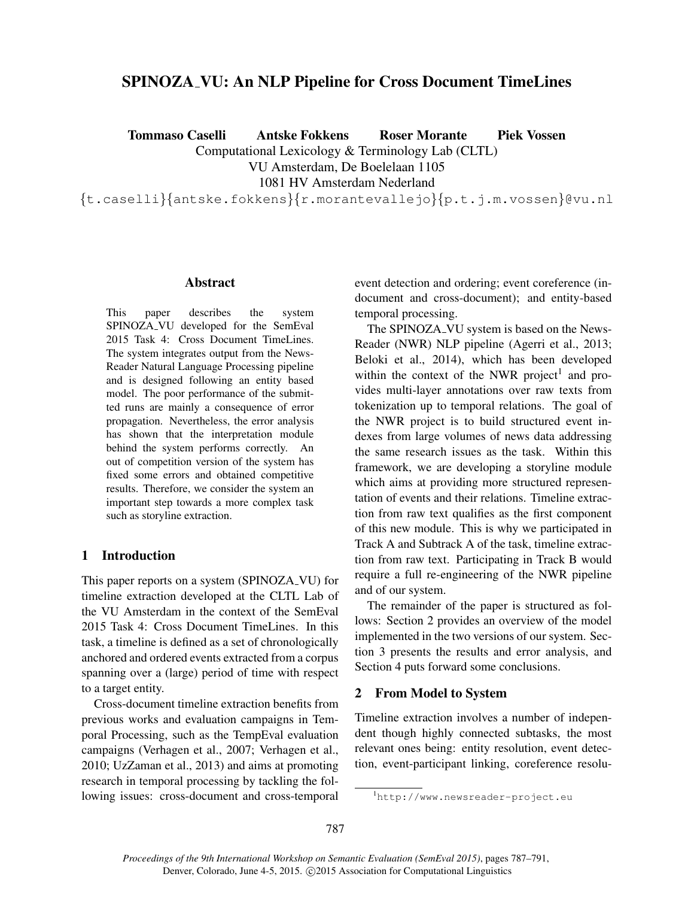# SPINOZA VU: An NLP Pipeline for Cross Document TimeLines

Tommaso Caselli Antske Fokkens Roser Morante Piek Vossen

Computational Lexicology & Terminology Lab (CLTL)

VU Amsterdam, De Boelelaan 1105

1081 HV Amsterdam Nederland

{t.caselli}{antske.fokkens}{r.morantevallejo}{p.t.j.m.vossen}@vu.nl

## Abstract

This paper describes the system SPINOZA VU developed for the SemEval 2015 Task 4: Cross Document TimeLines. The system integrates output from the News-Reader Natural Language Processing pipeline and is designed following an entity based model. The poor performance of the submitted runs are mainly a consequence of error propagation. Nevertheless, the error analysis has shown that the interpretation module behind the system performs correctly. An out of competition version of the system has fixed some errors and obtained competitive results. Therefore, we consider the system an important step towards a more complex task such as storyline extraction.

# 1 Introduction

This paper reports on a system (SPINOZA VU) for timeline extraction developed at the CLTL Lab of the VU Amsterdam in the context of the SemEval 2015 Task 4: Cross Document TimeLines. In this task, a timeline is defined as a set of chronologically anchored and ordered events extracted from a corpus spanning over a (large) period of time with respect to a target entity.

Cross-document timeline extraction benefits from previous works and evaluation campaigns in Temporal Processing, such as the TempEval evaluation campaigns (Verhagen et al., 2007; Verhagen et al., 2010; UzZaman et al., 2013) and aims at promoting research in temporal processing by tackling the following issues: cross-document and cross-temporal event detection and ordering; event coreference (indocument and cross-document); and entity-based temporal processing.

The SPINOZA<sub>-VU</sub> system is based on the News-Reader (NWR) NLP pipeline (Agerri et al., 2013; Beloki et al., 2014), which has been developed within the context of the NWR project<sup>1</sup> and provides multi-layer annotations over raw texts from tokenization up to temporal relations. The goal of the NWR project is to build structured event indexes from large volumes of news data addressing the same research issues as the task. Within this framework, we are developing a storyline module which aims at providing more structured representation of events and their relations. Timeline extraction from raw text qualifies as the first component of this new module. This is why we participated in Track A and Subtrack A of the task, timeline extraction from raw text. Participating in Track B would require a full re-engineering of the NWR pipeline and of our system.

The remainder of the paper is structured as follows: Section 2 provides an overview of the model implemented in the two versions of our system. Section 3 presents the results and error analysis, and Section 4 puts forward some conclusions.

# 2 From Model to System

Timeline extraction involves a number of independent though highly connected subtasks, the most relevant ones being: entity resolution, event detection, event-participant linking, coreference resolu-

<sup>1</sup>http://www.newsreader-project.eu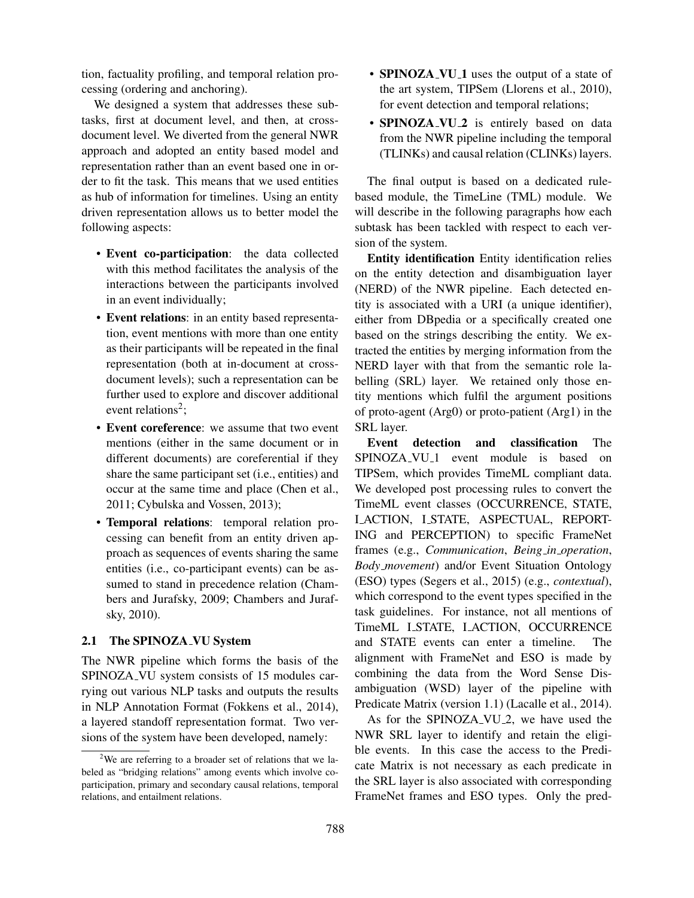tion, factuality profiling, and temporal relation processing (ordering and anchoring).

We designed a system that addresses these subtasks, first at document level, and then, at crossdocument level. We diverted from the general NWR approach and adopted an entity based model and representation rather than an event based one in order to fit the task. This means that we used entities as hub of information for timelines. Using an entity driven representation allows us to better model the following aspects:

- Event co-participation: the data collected with this method facilitates the analysis of the interactions between the participants involved in an event individually;
- Event relations: in an entity based representation, event mentions with more than one entity as their participants will be repeated in the final representation (both at in-document at crossdocument levels); such a representation can be further used to explore and discover additional event relations<sup>2</sup>;
- Event coreference: we assume that two event mentions (either in the same document or in different documents) are coreferential if they share the same participant set (i.e., entities) and occur at the same time and place (Chen et al., 2011; Cybulska and Vossen, 2013);
- Temporal relations: temporal relation processing can benefit from an entity driven approach as sequences of events sharing the same entities (i.e., co-participant events) can be assumed to stand in precedence relation (Chambers and Jurafsky, 2009; Chambers and Jurafsky, 2010).

#### 2.1 The SPINOZA\_VU System

The NWR pipeline which forms the basis of the SPINOZA VU system consists of 15 modules carrying out various NLP tasks and outputs the results in NLP Annotation Format (Fokkens et al., 2014), a layered standoff representation format. Two versions of the system have been developed, namely:

- SPINOZA\_VU\_1 uses the output of a state of the art system, TIPSem (Llorens et al., 2010), for event detection and temporal relations;
- SPINOZA\_VU\_2 is entirely based on data from the NWR pipeline including the temporal (TLINKs) and causal relation (CLINKs) layers.

The final output is based on a dedicated rulebased module, the TimeLine (TML) module. We will describe in the following paragraphs how each subtask has been tackled with respect to each version of the system.

Entity identification Entity identification relies on the entity detection and disambiguation layer (NERD) of the NWR pipeline. Each detected entity is associated with a URI (a unique identifier), either from DBpedia or a specifically created one based on the strings describing the entity. We extracted the entities by merging information from the NERD layer with that from the semantic role labelling (SRL) layer. We retained only those entity mentions which fulfil the argument positions of proto-agent (Arg0) or proto-patient (Arg1) in the SRL layer.

Event detection and classification The SPINOZA VU 1 event module is based on TIPSem, which provides TimeML compliant data. We developed post processing rules to convert the TimeML event classes (OCCURRENCE, STATE, I ACTION, I STATE, ASPECTUAL, REPORT-ING and PERCEPTION) to specific FrameNet frames (e.g., *Communication*, *Being in operation*, *Body movement*) and/or Event Situation Ontology (ESO) types (Segers et al., 2015) (e.g., *contextual*), which correspond to the event types specified in the task guidelines. For instance, not all mentions of TimeML I STATE, I ACTION, OCCURRENCE and STATE events can enter a timeline. The alignment with FrameNet and ESO is made by combining the data from the Word Sense Disambiguation (WSD) layer of the pipeline with Predicate Matrix (version 1.1) (Lacalle et al., 2014).

As for the SPINOZA<sub>-VU-2</sub>, we have used the NWR SRL layer to identify and retain the eligible events. In this case the access to the Predicate Matrix is not necessary as each predicate in the SRL layer is also associated with corresponding FrameNet frames and ESO types. Only the pred-

<sup>&</sup>lt;sup>2</sup>We are referring to a broader set of relations that we labeled as "bridging relations" among events which involve coparticipation, primary and secondary causal relations, temporal relations, and entailment relations.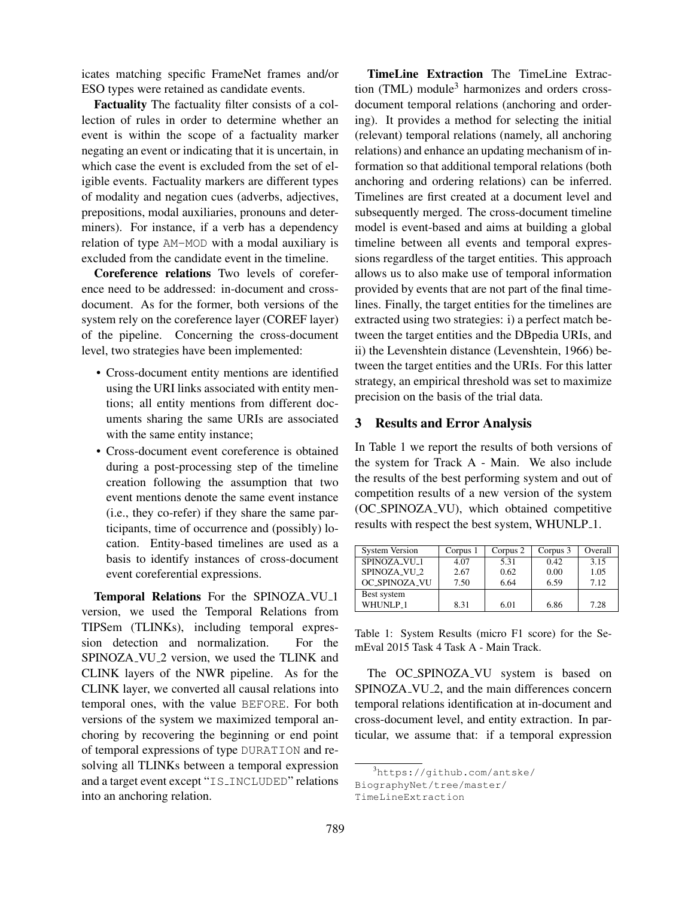icates matching specific FrameNet frames and/or ESO types were retained as candidate events.

Factuality The factuality filter consists of a collection of rules in order to determine whether an event is within the scope of a factuality marker negating an event or indicating that it is uncertain, in which case the event is excluded from the set of eligible events. Factuality markers are different types of modality and negation cues (adverbs, adjectives, prepositions, modal auxiliaries, pronouns and determiners). For instance, if a verb has a dependency relation of type AM-MOD with a modal auxiliary is excluded from the candidate event in the timeline.

Coreference relations Two levels of coreference need to be addressed: in-document and crossdocument. As for the former, both versions of the system rely on the coreference layer (COREF layer) of the pipeline. Concerning the cross-document level, two strategies have been implemented:

- Cross-document entity mentions are identified using the URI links associated with entity mentions; all entity mentions from different documents sharing the same URIs are associated with the same entity instance;
- Cross-document event coreference is obtained during a post-processing step of the timeline creation following the assumption that two event mentions denote the same event instance (i.e., they co-refer) if they share the same participants, time of occurrence and (possibly) location. Entity-based timelines are used as a basis to identify instances of cross-document event coreferential expressions.

Temporal Relations For the SPINOZA\_VU\_1 version, we used the Temporal Relations from TIPSem (TLINKs), including temporal expression detection and normalization. For the SPINOZA\_VU\_2 version, we used the TLINK and CLINK layers of the NWR pipeline. As for the CLINK layer, we converted all causal relations into temporal ones, with the value BEFORE. For both versions of the system we maximized temporal anchoring by recovering the beginning or end point of temporal expressions of type DURATION and resolving all TLINKs between a temporal expression and a target event except "IS INCLUDED" relations into an anchoring relation.

TimeLine Extraction The TimeLine Extraction  $(TML)$  module<sup>3</sup> harmonizes and orders crossdocument temporal relations (anchoring and ordering). It provides a method for selecting the initial (relevant) temporal relations (namely, all anchoring relations) and enhance an updating mechanism of information so that additional temporal relations (both anchoring and ordering relations) can be inferred. Timelines are first created at a document level and subsequently merged. The cross-document timeline model is event-based and aims at building a global timeline between all events and temporal expressions regardless of the target entities. This approach allows us to also make use of temporal information provided by events that are not part of the final timelines. Finally, the target entities for the timelines are extracted using two strategies: i) a perfect match between the target entities and the DBpedia URIs, and ii) the Levenshtein distance (Levenshtein, 1966) between the target entities and the URIs. For this latter strategy, an empirical threshold was set to maximize precision on the basis of the trial data.

# 3 Results and Error Analysis

In Table 1 we report the results of both versions of the system for Track A - Main. We also include the results of the best performing system and out of competition results of a new version of the system (OC SPINOZA VU), which obtained competitive results with respect the best system, WHUNLP<sub>-1</sub>.

| <b>System Version</b> | Corpus 1 | Corpus 2 | Corpus 3 | Overall |
|-----------------------|----------|----------|----------|---------|
| SPINOZA_VU_1          | 4.07     | 5.31     | 0.42     | 3.15    |
| SPINOZA_VU_2          | 2.67     | 0.62     | 0.00     | 1.05    |
| OC_SPINOZA_VU         | 7.50     | 6.64     | 6.59     | 7.12    |
| Best system           |          |          |          |         |
| WHUNLP <sub>-1</sub>  | 8.31     | 6.01     | 6.86     | 7.28    |

Table 1: System Results (micro F1 score) for the SemEval 2015 Task 4 Task A - Main Track.

The OC SPINOZA VU system is based on SPINOZA\_VU\_2, and the main differences concern temporal relations identification at in-document and cross-document level, and entity extraction. In particular, we assume that: if a temporal expression

BiographyNet/tree/master/

<sup>3</sup>https://github.com/antske/

TimeLineExtraction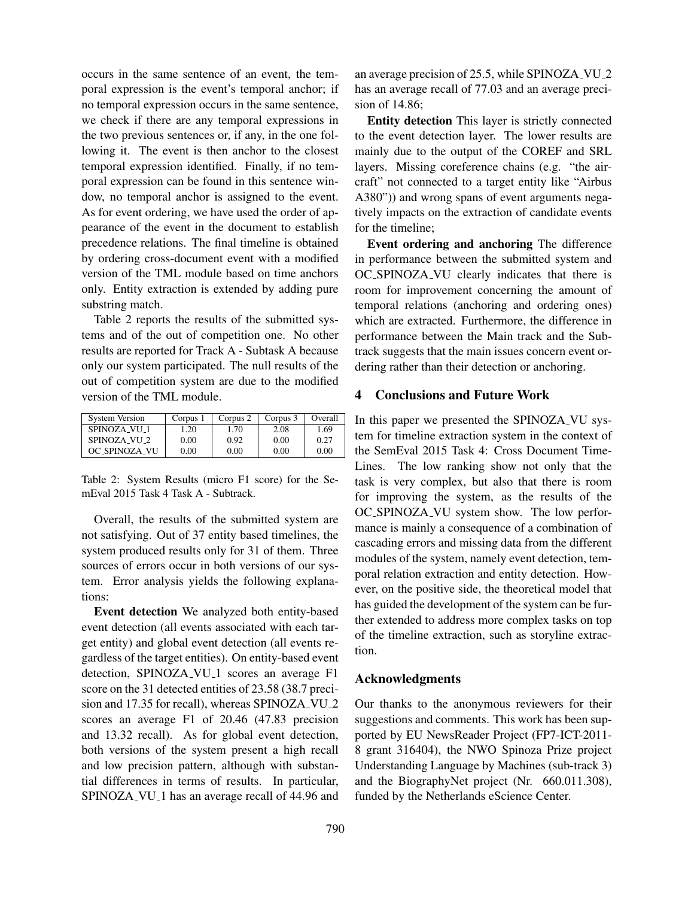occurs in the same sentence of an event, the temporal expression is the event's temporal anchor; if no temporal expression occurs in the same sentence, we check if there are any temporal expressions in the two previous sentences or, if any, in the one following it. The event is then anchor to the closest temporal expression identified. Finally, if no temporal expression can be found in this sentence window, no temporal anchor is assigned to the event. As for event ordering, we have used the order of appearance of the event in the document to establish precedence relations. The final timeline is obtained by ordering cross-document event with a modified version of the TML module based on time anchors only. Entity extraction is extended by adding pure substring match.

Table 2 reports the results of the submitted systems and of the out of competition one. No other results are reported for Track A - Subtask A because only our system participated. The null results of the out of competition system are due to the modified version of the TML module.

| <b>System Version</b> | Corpus 1 | Corpus 2 | Corpus 3 | Overall |
|-----------------------|----------|----------|----------|---------|
| SPINOZA VU 1          | 1.20     | 1.70     | 2.08     | 1.69    |
| SPINOZA_VU_2          | 0.00     | 0.92     | 0.00     | 0.27    |
| <b>OC_SPINOZA_VU</b>  | 0.00     | 0.00     | 0.00     | 0.00    |

Table 2: System Results (micro F1 score) for the SemEval 2015 Task 4 Task A - Subtrack.

Overall, the results of the submitted system are not satisfying. Out of 37 entity based timelines, the system produced results only for 31 of them. Three sources of errors occur in both versions of our system. Error analysis yields the following explanations:

Event detection We analyzed both entity-based event detection (all events associated with each target entity) and global event detection (all events regardless of the target entities). On entity-based event detection, SPINOZA\_VU\_1 scores an average F1 score on the 31 detected entities of 23.58 (38.7 precision and 17.35 for recall), whereas SPINOZA\_VU\_2 scores an average F1 of 20.46 (47.83 precision and 13.32 recall). As for global event detection, both versions of the system present a high recall and low precision pattern, although with substantial differences in terms of results. In particular, SPINOZA\_VU\_1 has an average recall of 44.96 and an average precision of 25.5, while SPINOZA\_VU\_2 has an average recall of 77.03 and an average precision of 14.86;

Entity detection This layer is strictly connected to the event detection layer. The lower results are mainly due to the output of the COREF and SRL layers. Missing coreference chains (e.g. "the aircraft" not connected to a target entity like "Airbus A380")) and wrong spans of event arguments negatively impacts on the extraction of candidate events for the timeline;

Event ordering and anchoring The difference in performance between the submitted system and OC SPINOZA VU clearly indicates that there is room for improvement concerning the amount of temporal relations (anchoring and ordering ones) which are extracted. Furthermore, the difference in performance between the Main track and the Subtrack suggests that the main issues concern event ordering rather than their detection or anchoring.

## 4 Conclusions and Future Work

In this paper we presented the SPINOZA VU system for timeline extraction system in the context of the SemEval 2015 Task 4: Cross Document Time-Lines. The low ranking show not only that the task is very complex, but also that there is room for improving the system, as the results of the OC SPINOZA VU system show. The low performance is mainly a consequence of a combination of cascading errors and missing data from the different modules of the system, namely event detection, temporal relation extraction and entity detection. However, on the positive side, the theoretical model that has guided the development of the system can be further extended to address more complex tasks on top of the timeline extraction, such as storyline extraction.

## Acknowledgments

Our thanks to the anonymous reviewers for their suggestions and comments. This work has been supported by EU NewsReader Project (FP7-ICT-2011- 8 grant 316404), the NWO Spinoza Prize project Understanding Language by Machines (sub-track 3) and the BiographyNet project (Nr. 660.011.308), funded by the Netherlands eScience Center.